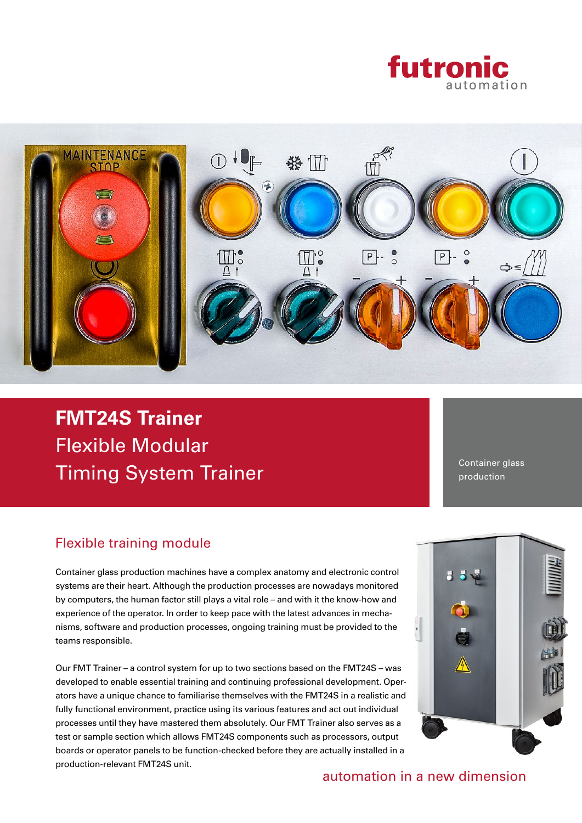



Flexible Modular Timing System Trainer **FMT24S Trainer**

Container glass production

## Flexible training module

Container glass production machines have a complex anatomy and electronic control systems are their heart. Although the production processes are nowadays monitored by computers, the human factor still plays a vital role – and with it the know-how and experience of the operator. In order to keep pace with the latest advances in mechanisms, software and production processes, ongoing training must be provided to the teams responsible.

Our FMT Trainer – a control system for up to two sections based on the FMT24S – was developed to enable essential training and continuing professional development. Operators have a unique chance to familiarise themselves with the FMT24S in a realistic and fully functional environment, practice using its various features and act out individual processes until they have mastered them absolutely. Our FMT Trainer also serves as a test or sample section which allows FMT24S components such as processors, output boards or operator panels to be function-checked before they are actually installed in a production-relevant FMT24S unit.



automation in a new dimension